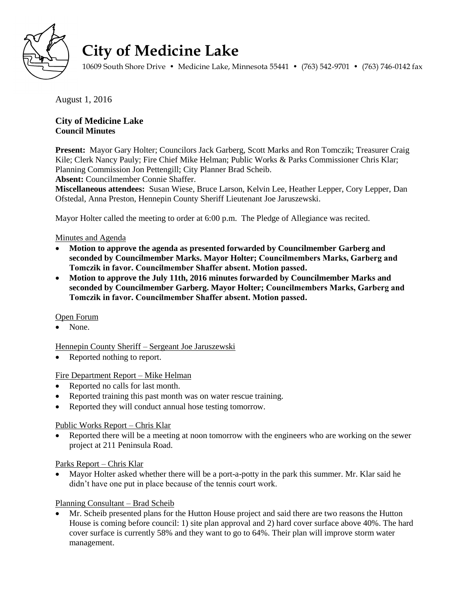

# **City of Medicine Lake**

10609 South Shore Drive • Medicine Lake, Minnesota 55441 • (763) 542-9701 • (763) 746-0142 fax

August 1, 2016

# **City of Medicine Lake Council Minutes**

**Present:** Mayor Gary Holter; Councilors Jack Garberg, Scott Marks and Ron Tomczik; Treasurer Craig Kile; Clerk Nancy Pauly; Fire Chief Mike Helman; Public Works & Parks Commissioner Chris Klar; Planning Commission Jon Pettengill; City Planner Brad Scheib.

**Absent:** Councilmember Connie Shaffer.

**Miscellaneous attendees:** Susan Wiese, Bruce Larson, Kelvin Lee, Heather Lepper, Cory Lepper, Dan Ofstedal, Anna Preston, Hennepin County Sheriff Lieutenant Joe Jaruszewski.

Mayor Holter called the meeting to order at 6:00 p.m. The Pledge of Allegiance was recited.

## Minutes and Agenda

- **Motion to approve the agenda as presented forwarded by Councilmember Garberg and seconded by Councilmember Marks. Mayor Holter; Councilmembers Marks, Garberg and Tomczik in favor. Councilmember Shaffer absent. Motion passed.**
- **Motion to approve the July 11th, 2016 minutes forwarded by Councilmember Marks and seconded by Councilmember Garberg. Mayor Holter; Councilmembers Marks, Garberg and Tomczik in favor. Councilmember Shaffer absent. Motion passed.**

### Open Forum

None.

Hennepin County Sheriff – Sergeant Joe Jaruszewski

• Reported nothing to report.

### Fire Department Report – Mike Helman

- Reported no calls for last month.
- Reported training this past month was on water rescue training.
- Reported they will conduct annual hose testing tomorrow.

# Public Works Report – Chris Klar

 Reported there will be a meeting at noon tomorrow with the engineers who are working on the sewer project at 211 Peninsula Road.

### Parks Report – Chris Klar

 Mayor Holter asked whether there will be a port-a-potty in the park this summer. Mr. Klar said he didn't have one put in place because of the tennis court work.

# Planning Consultant – Brad Scheib

 Mr. Scheib presented plans for the Hutton House project and said there are two reasons the Hutton House is coming before council: 1) site plan approval and 2) hard cover surface above 40%. The hard cover surface is currently 58% and they want to go to 64%. Their plan will improve storm water management.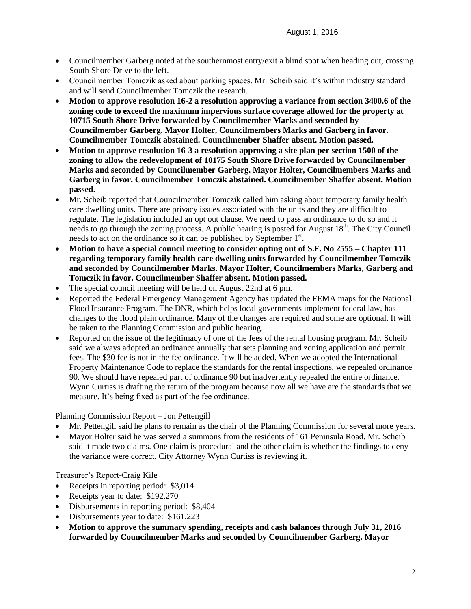- Councilmember Garberg noted at the southernmost entry/exit a blind spot when heading out, crossing South Shore Drive to the left.
- Councilmember Tomczik asked about parking spaces. Mr. Scheib said it's within industry standard and will send Councilmember Tomczik the research.
- **Motion to approve resolution 16-2 a resolution approving a variance from section 3400.6 of the zoning code to exceed the maximum impervious surface coverage allowed for the property at 10715 South Shore Drive forwarded by Councilmember Marks and seconded by Councilmember Garberg. Mayor Holter, Councilmembers Marks and Garberg in favor. Councilmember Tomczik abstained. Councilmember Shaffer absent. Motion passed.**
- **Motion to approve resolution 16-3 a resolution approving a site plan per section 1500 of the zoning to allow the redevelopment of 10175 South Shore Drive forwarded by Councilmember Marks and seconded by Councilmember Garberg. Mayor Holter, Councilmembers Marks and Garberg in favor. Councilmember Tomczik abstained. Councilmember Shaffer absent. Motion passed.**
- Mr. Scheib reported that Councilmember Tomczik called him asking about temporary family health care dwelling units. There are privacy issues associated with the units and they are difficult to regulate. The legislation included an opt out clause. We need to pass an ordinance to do so and it needs to go through the zoning process. A public hearing is posted for August 18<sup>th</sup>. The City Council needs to act on the ordinance so it can be published by September 1<sup>st</sup>.
- **Motion to have a special council meeting to consider opting out of S.F. No 2555 – Chapter 111 regarding temporary family health care dwelling units forwarded by Councilmember Tomczik and seconded by Councilmember Marks. Mayor Holter, Councilmembers Marks, Garberg and Tomczik in favor. Councilmember Shaffer absent. Motion passed.**
- The special council meeting will be held on August 22nd at 6 pm.
- Reported the Federal Emergency Management Agency has updated the FEMA maps for the National Flood Insurance Program. The DNR, which helps local governments implement federal law, has changes to the flood plain ordinance. Many of the changes are required and some are optional. It will be taken to the Planning Commission and public hearing.
- Reported on the issue of the legitimacy of one of the fees of the rental housing program. Mr. Scheib said we always adopted an ordinance annually that sets planning and zoning application and permit fees. The \$30 fee is not in the fee ordinance. It will be added. When we adopted the International Property Maintenance Code to replace the standards for the rental inspections, we repealed ordinance 90. We should have repealed part of ordinance 90 but inadvertently repealed the entire ordinance. Wynn Curtiss is drafting the return of the program because now all we have are the standards that we measure. It's being fixed as part of the fee ordinance.

Planning Commission Report – Jon Pettengill

- Mr. Pettengill said he plans to remain as the chair of the Planning Commission for several more years.
- Mayor Holter said he was served a summons from the residents of 161 Peninsula Road. Mr. Scheib said it made two claims. One claim is procedural and the other claim is whether the findings to deny the variance were correct. City Attorney Wynn Curtiss is reviewing it.

Treasurer's Report-Craig Kile

- Receipts in reporting period: \$3,014
- Receipts year to date: \$192,270
- Disbursements in reporting period: \$8,404
- Disbursements year to date: \$161,223
- **Motion to approve the summary spending, receipts and cash balances through July 31, 2016 forwarded by Councilmember Marks and seconded by Councilmember Garberg. Mayor**